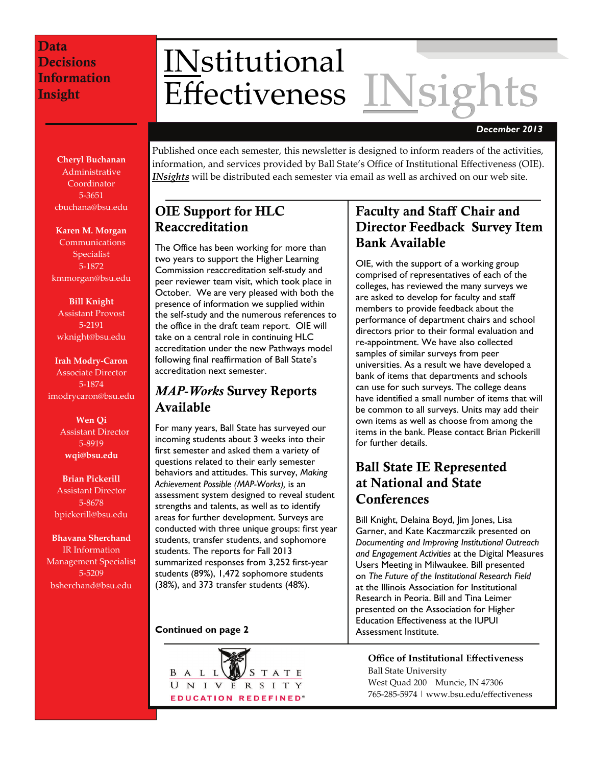# INstitutional<br>Effectiveness INsigh **Effectiveness**

#### *December 2013*

**Cheryl Buchanan** Administrative **Coordinator** 5‐3651 cbuchana@bsu.edu

**Karen M. Morgan**

 Communications Specialist 5‐1872 kmmorgan@bsu.edu

**Bill Knight** Assistant Provost 5‐2191 wknight@bsu.edu

**Irah Modry‐Caron** Associate Director 5‐1874 imodrycaron@bsu.edu

> **Wen Qi** Assistant Director 5‐8919 **wqi@bsu.edu**

**Brian Pickerill** Assistant Director 5‐8678 bpickerill@bsu.edu

**Bhavana Sherchand** IR Information Management Specialist 5‐5209 bsherchand@bsu.edu

Published once each semester, this newsletter is designed to inform readers of the activities, information, and services provided by Ball State's Office of Institutional Effectiveness (OIE). *INsights* will be distributed each semester via email as well as archived on our web site.

# OIE Support for HLC Reaccreditation

The Office has been working for more than two years to support the Higher Learning Commission reaccreditation self-study and peer reviewer team visit, which took place in October. We are very pleased with both the presence of information we supplied within the self-study and the numerous references to the office in the draft team report. OIE will take on a central role in continuing HLC accreditation under the new Pathways model following final reaffirmation of Ball State's accreditation next semester.

# *MAP-Works* Survey Reports Available

For many years, Ball State has surveyed our incoming students about 3 weeks into their first semester and asked them a variety of questions related to their early semester behaviors and attitudes. This survey, *Making Achievement Possible (MAP-Works),* is an assessment system designed to reveal student strengths and talents, as well as to identify areas for further development. Surveys are conducted with three unique groups: first year students, transfer students, and sophomore students. The reports for Fall 2013 summarized responses from 3,252 first-year students (89%), 1,472 sophomore students (38%), and 373 transfer students (48%).

#### **Continued on page 2**



# Faculty and Staff Chair and Director Feedback Survey Item Bank Available

OIE, with the support of a working group comprised of representatives of each of the colleges, has reviewed the many surveys we are asked to develop for faculty and staff members to provide feedback about the performance of department chairs and school directors prior to their formal evaluation and re-appointment. We have also collected samples of similar surveys from peer universities. As a result we have developed a bank of items that departments and schools can use for such surveys. The college deans have identified a small number of items that will be common to all surveys. Units may add their own items as well as choose from among the items in the bank. Please contact Brian Pickerill for further details.

# Ball State IE Represented at National and State **Conferences**

Bill Knight, Delaina Boyd, Jim Jones, Lisa Garner, and Kate Kaczmarczik presented on *Documenting and Improving Institutional Outreach and Engagement Activities* at the Digital Measures Users Meeting in Milwaukee. Bill presented on *The Future of the Institutional Research Field* at the Illinois Association for Institutional Research in Peoria. Bill and Tina Leimer presented on the Association for Higher Education Effectiveness at the IUPUI Assessment Institute.

**Office of Institutional Effectiveness** Ball State University West Quad 200 Muncie, IN 47306 765‐285‐5974 | www.bsu.edu/effectiveness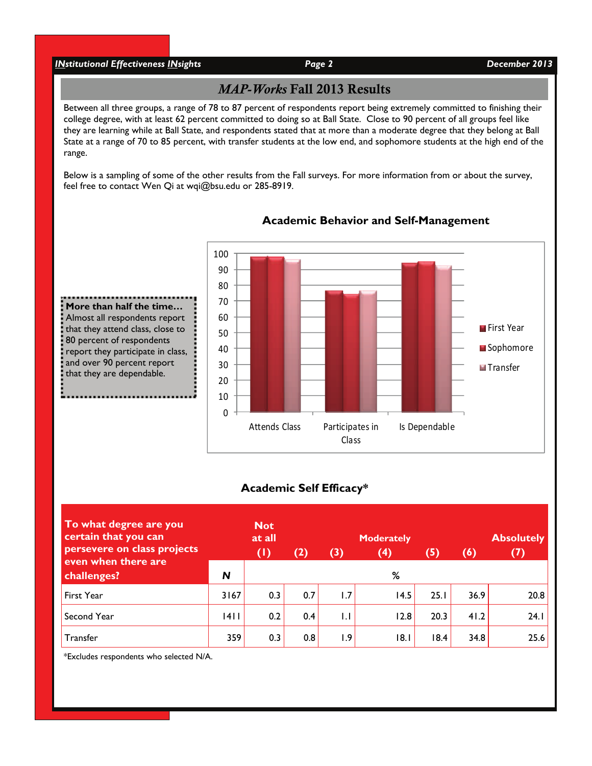### *INstitutional Effectiveness INsights Page 2 December 2013*

80 percent of respondents

and over 90 percent report that they are dependable.

# *MAP-Works* Fall 2013 Results

Between all three groups, a range of 78 to 87 percent of respondents report being extremely committed to finishing their college degree, with at least 62 percent committed to doing so at Ball State. Close to 90 percent of all groups feel like they are learning while at Ball State, and respondents stated that at more than a moderate degree that they belong at Ball State at a range of 70 to 85 percent, with transfer students at the low end, and sophomore students at the high end of the range.

Below is a sampling of some of the other results from the Fall surveys. For more information from or about the survey, feel free to contact Wen Qi at wqi@bsu.edu or 285-8919.



#### **Academic Behavior and Self-Management**

#### **Academic Self Efficacy\***

| To what degree are you<br>certain that you can<br>persevere on class projects | <b>Not</b><br>at all<br>(2)<br>$(\mathsf{I})$ |     |     | <b>Moderately</b><br>(3)<br>(4)<br>(5) |      |      | <b>Absolutely</b><br>(7)<br>(6) |      |
|-------------------------------------------------------------------------------|-----------------------------------------------|-----|-----|----------------------------------------|------|------|---------------------------------|------|
| even when there are<br>challenges?                                            | N                                             |     |     |                                        | %    |      |                                 |      |
| First Year                                                                    | 3167                                          | 0.3 | 0.7 | 1.7                                    | 14.5 | 25.1 | 36.9                            | 20.8 |
| Second Year                                                                   | 4                                             | 0.2 | 0.4 | 1.1                                    | 12.8 | 20.3 | 41.2                            | 24.1 |
| Transfer                                                                      | 359                                           | 0.3 | 0.8 | 1.9                                    | 18.1 | 18.4 | 34.8                            | 25.6 |

\*Excludes respondents who selected N/A.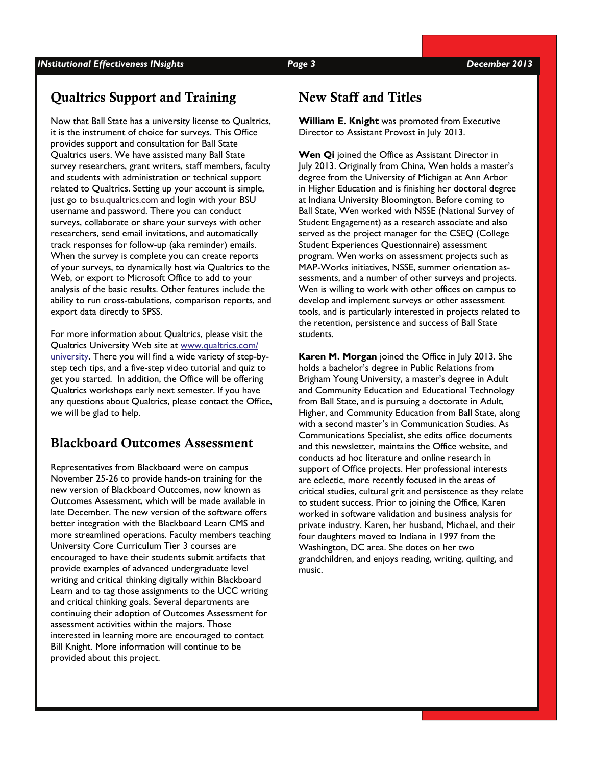# Qualtrics Support and Training

Now that Ball State has a university license to Qualtrics, it is the instrument of choice for surveys. This Office provides support and consultation for Ball State Qualtrics users. We have assisted many Ball State survey researchers, grant writers, staff members, faculty and students with administration or technical support related to Qualtrics. Setting up your account is simple, just go to bsu.qualtrics.com and login with your BSU username and password. There you can conduct surveys, collaborate or share your surveys with other researchers, send email invitations, and automatically track responses for follow-up (aka reminder) emails. When the survey is complete you can create reports of your surveys, to dynamically host via Qualtrics to the Web, or export to Microsoft Office to add to your analysis of the basic results. Other features include the ability to run cross-tabulations, comparison reports, and export data directly to SPSS.

For more information about Qualtrics, please visit the Qualtrics University Web site at [www.qualtrics.com/](http://www.qualtrics.com/university) [university](http://www.qualtrics.com/university). There you will find a wide variety of step-bystep tech tips, and a five-step video tutorial and quiz to get you started. In addition, the Office will be offering Qualtrics workshops early next semester. If you have any questions about Qualtrics, please contact the Office, we will be glad to help.

# Blackboard Outcomes Assessment

Representatives from Blackboard were on campus November 25-26 to provide hands-on training for the new version of Blackboard Outcomes, now known as Outcomes Assessment, which will be made available in late December. The new version of the software offers better integration with the Blackboard Learn CMS and more streamlined operations. Faculty members teaching University Core Curriculum Tier 3 courses are encouraged to have their students submit artifacts that provide examples of advanced undergraduate level writing and critical thinking digitally within Blackboard Learn and to tag those assignments to the UCC writing and critical thinking goals. Several departments are continuing their adoption of Outcomes Assessment for assessment activities within the majors. Those interested in learning more are encouraged to contact Bill Knight. More information will continue to be provided about this project.

## New Staff and Titles

**William E. Knight** was promoted from Executive Director to Assistant Provost in July 2013.

**Wen Qi** joined the Office as Assistant Director in July 2013. Originally from China, Wen holds a master's degree from the University of Michigan at Ann Arbor in Higher Education and is finishing her doctoral degree at Indiana University Bloomington. Before coming to Ball State, Wen worked with NSSE (National Survey of Student Engagement) as a research associate and also served as the project manager for the CSEQ (College Student Experiences Questionnaire) assessment program. Wen works on assessment projects such as MAP-Works initiatives, NSSE, summer orientation assessments, and a number of other surveys and projects. Wen is willing to work with other offices on campus to develop and implement surveys or other assessment tools, and is particularly interested in projects related to the retention, persistence and success of Ball State students.

**Karen M. Morgan** joined the Office in July 2013. She holds a bachelor's degree in Public Relations from Brigham Young University, a master's degree in Adult and Community Education and Educational Technology from Ball State, and is pursuing a doctorate in Adult, Higher, and Community Education from Ball State, along with a second master's in Communication Studies. As Communications Specialist, she edits office documents and this newsletter, maintains the Office website, and conducts ad hoc literature and online research in support of Office projects. Her professional interests are eclectic, more recently focused in the areas of critical studies, cultural grit and persistence as they relate to student success. Prior to joining the Office, Karen worked in software validation and business analysis for private industry. Karen, her husband, Michael, and their four daughters moved to Indiana in 1997 from the Washington, DC area. She dotes on her two grandchildren, and enjoys reading, writing, quilting, and music.